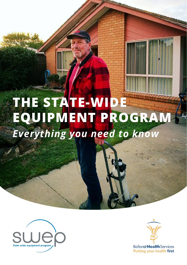# **THE STATE-WIDE EQUIPMENT PROGRAM** *Everything you need to know*



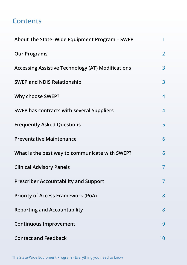# **Contents**

| About The State-Wide Equipment Program - SWEP            | $\mathbf{1}$   |
|----------------------------------------------------------|----------------|
| <b>Our Programs</b>                                      | $\overline{2}$ |
| <b>Accessing Assistive Technology (AT) Modifications</b> | 3              |
| <b>SWEP and NDIS Relationship</b>                        | 3              |
| Why choose SWEP?                                         | $\overline{4}$ |
| SWEP has contracts with several Suppliers                | $\overline{4}$ |
| <b>Frequently Asked Questions</b>                        | 5              |
| <b>Preventative Maintenance</b>                          | 6              |
| What is the best way to communicate with SWEP?           | 6              |
| <b>Clinical Advisory Panels</b>                          | $\overline{7}$ |
| <b>Prescriber Accountability and Support</b>             | $\overline{7}$ |
| <b>Priority of Access Framework (PoA)</b>                | 8              |
| <b>Reporting and Accountability</b>                      | 8              |
| <b>Continuous Improvement</b>                            | 9              |
| <b>Contact and Feedback</b>                              | 10             |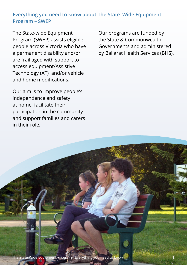# <span id="page-2-0"></span>**Everything you need to know about The State–Wide Equipment Program – SWEP**

The State-wide Equipment Program (SWEP) assists eligible people across Victoria who have a permanent disability and/or are frail aged with support to access equipment/Assistive Technology (AT) and/or vehicle and home modifications.

Our aim is to improve people's independence and safety at home, facilitate their participation in the community and support families and carers in their role.

Our programs are funded by the State & Commonwealth Governments and administered by Ballarat Health Services (BHS).

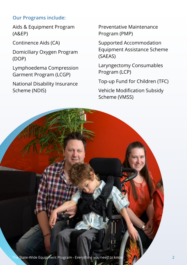# <span id="page-3-0"></span>**Our Programs include:**

Aids & Equipment Program (A&EP)

Continence Aids (CA)

Domiciliary Oxygen Program (DOP)

Lymphoedema Compression Garment Program (LCGP)

National Disability Insurance Scheme (NDIS)

Preventative Maintenance Program (PMP)

Supported Accommodation Equipment Assistance Scheme (SAEAS)

Laryngectomy Consumables Program (LCP)

Top-up Fund for Children (TFC)

Vehicle Modification Subsidy Scheme (VMSS)

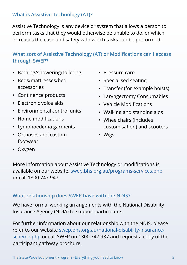# <span id="page-4-0"></span>**What is Assistive Technology (AT)?**

Assistive Technology is any device or system that allows a person to perform tasks that they would otherwise be unable to do, or which increases the ease and safety with which tasks can be performed.

# **What sort of Assistive Technology (AT) or Modifications can I access through SWEP?**

- Bathing/showering/toileting
- Beds/mattresses/bed accessories
- Continence products
- Electronic voice aids
- Environmental control units
- Home modifications
- Lymphoedema garments
- Orthoses and custom footwear
- Pressure care
- Specialised seating
- Transfer (for example hoists)
- Laryngectomy Consumables
- Vehicle Modifications
- Walking and standing aids
- Wheelchairs (includes customisation) and scooters
- Wigs

• Oxygen

More information about Assistive Technology or modifications is available on our website, [swep.bhs.org.au/programs-services.php](http://swep.bhs.org.au/programs-services.php) or call [1300 747 947](tel:1300 747 937).

# **What relationship does SWEP have with the NDIS?**

We have formal working arrangements with the National Disability Insurance Agency (NDIA) to support participants.

For further information about our relationship with the NDIS, please refer to our website [swep.bhs.org.au/national-disability-insurance](http:// swep.bhs.org.au/national-disability-insurance-scheme.php )[scheme.php](http:// swep.bhs.org.au/national-disability-insurance-scheme.php ) or call SWEP on 1300 747 937 and request a copy of the participant pathway brochure.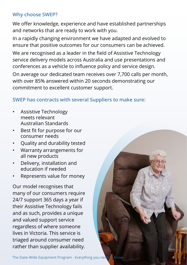# <span id="page-5-0"></span>**Why choose SWEP?**

We offer knowledge, experience and have established partnerships and networks that are ready to work with you.

In a rapidly changing environment we have adapted and evolved to ensure that positive outcomes for our consumers can be achieved.

We are recognised as a leader in the field of Assistive Technology service delivery models across Australia and use presentations and conferences as a vehicle to influence policy and service design.

On average our dedicated team receives over 7,700 calls per month, with over 85% answered within 20 seconds demonstrating our commitment to excellent customer support.

# **SWEP has contracts with several Suppliers to make sure:**

- Assistive Technology meets relevant Australian Standards
- Best fit for purpose for our consumer needs
- Quality and durability tested
- Warranty arrangements for all new products
- Delivery, installation and education if needed
- Represents value for money

Our model recognises that many of our consumers require 24/7 support 365 days a year if their Assistive Technology fails and as such, provides a unique and valued support service regardless of where someone lives in Victoria. This service is triaged around consumer need rather than supplier availability.

The State-Wide Equipment Program - Everything you need to know

4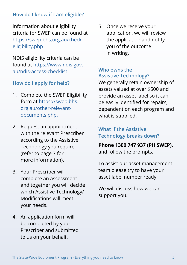# <span id="page-6-0"></span>**How do I know if I am eligible?**

Information about eligibility criteria for SWEP can be found at [https://swep.bhs.org.au/check](https://swep.bhs.org.au/check-eligibility.php)[eligibility.php](https://swep.bhs.org.au/check-eligibility.php)

NDIS eligibility criteria can be found at [https://www.ndis.gov.](https://www.ndis.gov.au/ndis-access-checklist) [au/ndis-access-checklist](https://www.ndis.gov.au/ndis-access-checklist)

#### **How do I apply for help?**

- 1. Complete the SWEP Eligibility form at [https://swep.bhs.](https://swep.bhs.org.au/other-relevant-documents.php) [org.au/other-relevant](https://swep.bhs.org.au/other-relevant-documents.php)[documents.php.](https://swep.bhs.org.au/other-relevant-documents.php)
- 2. Request an appointment with the relevant Prescriber according to the Assistive Technology you require (refer to page 7 for more information).
- 3. Your Prescriber will complete an assessment and together you will decide which Assistive Technology/ Modifications will meet your needs.
- 4. An application form will be completed by your Prescriber and submitted to us on your behalf.

5. Once we receive your application, we will review the application and notify you of the outcome in writing.

#### **Who owns the Assistive Technology?**

We generally retain ownership of assets valued at over \$500 and provide an asset label so it can be easily identified for repairs, dependent on each program and what is supplied.

# **What if the Assistive Technology breaks down?**

**Phone [1300 747 937](tel:1300 747 937) (PH SWEP).**  and follow the prompts.

To assist our asset management team please try to have your asset label number ready.

We will discuss how we can support you.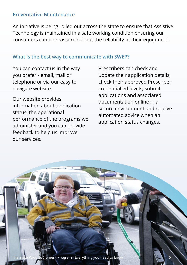#### <span id="page-7-0"></span>**Preventative Maintenance**

An initiative is being rolled out across the state to ensure that Assistive Technology is maintained in a safe working condition ensuring our consumers can be reassured about the reliability of their equipment.

# **What is the best way to communicate with SWEP?**

You can contact us in the way you prefer - email, mail or telephone or via our easy to navigate website.

Our website provides information about application status, the operational performance of the programs we administer and you can provide feedback to help us improve our services.

Prescribers can check and update their application details, check their approved Prescriber credentialied levels, submit applications and associated documentation online in a secure environment and receive automated advice when an application status changes.

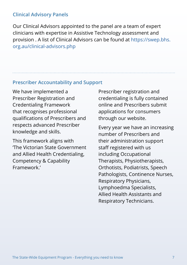#### <span id="page-8-0"></span>**Clinical Advisory Panels**

Our Clinical Advisors appointed to the panel are a team of expert clinicians with expertise in Assistive Technology assessment and provision . A list of Clinical Advisors can be found at [https://swep.bhs.](https://swep.bhs.org.au/clinical-advisors.php) [org.au/clinical-advisors.php](https://swep.bhs.org.au/clinical-advisors.php)

#### **Prescriber Accountability and Support**

We have implemented a Prescriber Registration and Credentialing Framework that recognises professional qualifications of Prescribers and respects advanced Prescriber knowledge and skills.

This framework aligns with 'The Victorian State Government and Allied Health Credentialing, Competency & Capability Framework.'

Prescriber registration and credentialing is fully contained online and Prescribers submit applications for consumers through our website.

Every year we have an increasing number of Prescribers and their administration support staff registered with us including Occupational Therapists, Physiotherapists, Orthotists, Podiatrists, Speech Pathologists, Continence Nurses, Respiratory Physicians, Lymphoedma Specialists, Allied Health Assistants and Respiratory Technicians.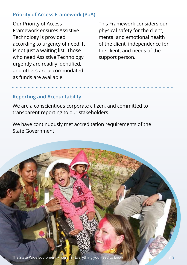### <span id="page-9-0"></span>**Priority of Access Framework (PoA)**

Our Priority of Access Framework ensures Assistive Technology is provided according to urgency of need. It is not just a waiting list. Those who need Assistive Technology urgently are readily identified, and others are accommodated as funds are available.

This Framework considers our physical safety for the client, mental and emotional health of the client, independence for the client, and needs of the support person.

# **Reporting and Accountability**

We are a conscientious corporate citizen, and committed to transparent reporting to our stakeholders.

We have continuously met accreditation requirements of the State Government.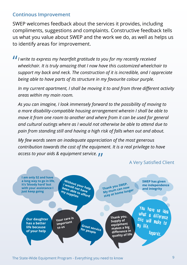#### <span id="page-10-0"></span>**Continous Improvement**

SWEP welcomes feedback about the services it provides, including compliments, suggestions and complaints. Constructive feedback tells us what you value about SWEP and the work we do, as well as helps us to identify areas for improvement.

*I I* write to express my heartfelt gratitude to you for my recently received wheelchair. It is truly amazing that I now have this customized wheelch *wheelchair. It is truly amazing that I now have this customized wheelchair to support my back and neck. The construction of it is incredible, and I appreciate being able to have parts of its structure in my favourite colour purple.* 

*In my current apartment, I shall be moving it to and from three different activity areas within my main room.*

*As you can imagine, I look immensely forward to the possibility of moving to a more disability-compatible housing arrangement wherein I shall be able to move it from one room to another and where from it can be used for general and cultural outings where as I would not otherwise be able to attend due to pain from standing still and having a high risk of falls when out and about.*

*My few words seem an inadequate appreciation of the most generous contribution towards the cost of the equipment. It is a real privilege to have access to your aids & equipment service.* "

#### A Very Satisfied Client